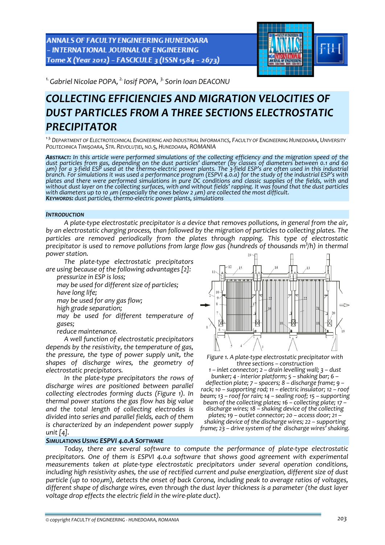ANNALS OF FACULTY ENGINEERING HUNEDOARA - INTERNATIONAL JOURNAL OF ENGINEERING Tome X (Year 2012) - FASCICULE 3 (ISSN 1584 - 2673)



*1.Gabriel Nicolae POPA, 2. Iosif POPA, 3. Sorin Ioan DEACONU* 

# *COLLECTING EFFICIENCIES AND MIGRATION VELOCITIES OF DUST PARTICLES FROM A THREE SECTIONS ELECTROSTATIC PRECIPITATOR*

*<sup>1</sup>‐3.DEPARTMENT OF ELECTROTECHNICAL ENGINEERING AND INDUSTRIAL INFORMATICS, FACULTY OF ENGINEERING HUNEDOARA, UNIVERSITY POLITECHNICA TIMIŞOARA, STR. REVOLUȚIEI, NO.5, HUNEDOARA, ROMANIA*

ABSTRACT: In this article were performed simulations of the collecting efficiency and the migration speed of the dust particles from gas, depending on the dust particles' diameter (by classes of diameters between 0.1 and 60  $\mu$ m) for a 3-field ESP used at the thermo-electric power plants. The 3-field ESP's are often used in this industrial branch. For simulations it was used a performance program (ESPVI 4.0.a) for the study of the industrial ESP's with plates and there were performed simulations in pure DC conditions and classic supplies of the fields, with and without dust layer on the collecting surfaces, with and without fields' rapping. It was found that the dust particles with diameters up to 10  $\mu$ m (especially the ones below 2  $\mu$ m) are collected the most difficult.<br>Key

### *INTRODUCTION*

*A plate‐type electrostatic precipitator is a device that removes pollutions, in general from the air, by an electrostatic charging process, than followed by the migration of particles to collecting plates. The particles are removed periodically from the plates through rapping. This type of electrostatic* precipitator is used to remove pollutions from large flow gas (hundreds of thousands m $^3$ /h) in thermal *power station.* 

*The plate‐type electrostatic precipitators are using because of the following advantages [2]:*

*pressurize in ESP is loss;*

 *may be used for different size of particles; have long life; may be used for any gas flow;*

*high grade separation;*

 *may be used for different temperature of gases;*

*reduce maintenance.*

*A well function of electrostatic precipitators depends by the resistivity, the temperature of gas, the pressure, the type of power supply unit, the shapes of discharge wires, the geometry of electrostatic precipitators.*

*In the plate‐type precipitators the rows of discharge wires are positioned between parallel collecting electrodes forming ducts (Figure 1). In thermal power stations the gas flow has big value and the total length of collecting electrodes is divided into series and parallel fields, each of them is characterized by an independent power supply unit [4].*

### *SIMULATIONS USING ESPVI 4.0.A SOFTWARE*



*Figure 1. A plate‐type electrostatic precipitator with three sections – construction*

*1 – inlet connector; 2 – drain levelling wall; 3 – dust bunker; 4 ‐ interior platform; 5 – shaking bar; 6 –* rack; 10 - supporting rod; 11 - electric insulator; 12 - roof *beam; 13 – roof for rain; 14 – sealing roof; 15 – supporting* beam of the collecting plates; 16 – collecting plate; 17 –<br>discharge wires; 18 – shaking device of the collecting *plates; 19 – outlet connector; 20 – access door; 21 – shaking device of the discharge wires; 22 – supporting frame; 23 – drive system of the discharge wires' shaking.*

*Today, there are several software to compute the performance of plate‐type electrostatic precipitators. One of them is ESPVI 4.0.a software that shows good agreement with experimental measurements taken at plate‐type electrostatic precipitators under several operation conditions, including high resistivity ashes, the use of rectified current and pulse energization, different size of dust* particle (up to 100µm), detects the onset of back Corona, including peak to average ratios of voltages, *different shape of discharge wires, even through the dust layer thickness is a parameter (the dust layer voltage drop effects the electric field in the wire‐plate duct).*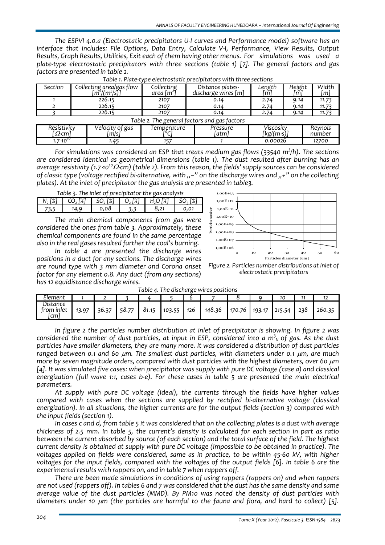*The ESPVI 4.0.a (Electrostatic precipitators U‐I curves and Performance model) software has an interface that includes: File Options, Data Entry, Calculate V‐I, Performance, View Results, Output Results, Graph Results, Utilities, Exit each of them having other menus. For simulations was used a plate‐type electrostatic precipitators with three sections (table 1) [7]. The general factors and gas factors are presented in table 2.*

| <b>Section</b>                               | Collecting area/gas flow<br>$\left[\frac{m^2}{m^3}\right]$ | Collecting<br>area [m <sup>2</sup> ] | Distance plates-<br>discharge wires $[m]$ | Length<br>i m I | Height<br>m | Width<br>ml |  |  |  |
|----------------------------------------------|------------------------------------------------------------|--------------------------------------|-------------------------------------------|-----------------|-------------|-------------|--|--|--|
|                                              | 226.15                                                     | 2107                                 | 0.14                                      | 2.74            | 9.14        | 11.73       |  |  |  |
|                                              | 226.15                                                     | 2107                                 | 0.14                                      | 2.74            | 9.14        | 11.73       |  |  |  |
|                                              | 226.15                                                     | 2107                                 | 0.14                                      | 2.74            | 9.14        | 11.73       |  |  |  |
| Table 2. The general factors and gas factors |                                                            |                                      |                                           |                 |             |             |  |  |  |

*Pressure*

*0 C]*

| For simulations was considered an ESP that treats medium gas flows (33540 m <sup>3</sup> /h). The sections                       |
|----------------------------------------------------------------------------------------------------------------------------------|
| are considered identical as geometrical dimensions (table 1). The dust resulted after burning has an                             |
| average resistivity (1.7 10 <sup>10</sup> $\Omega$ cm) (table 2). From this reason, the fields' supply sources can be considered |
| of classic type (voltage rectified bi-alternative, with "-" on the discharge wires and "+" on the collecting                     |
| plates). At the inlet of precipitator the gas analysis are presented in table3.                                                  |

*1.7*⋅*1010 1.45 157 1 0.00026 12700*

| Table 3. The inlet of precipitator the gas analysis |      |      |  |                                                                                                                                                                                                          |      |  |  |  |  |
|-----------------------------------------------------|------|------|--|----------------------------------------------------------------------------------------------------------------------------------------------------------------------------------------------------------|------|--|--|--|--|
|                                                     |      |      |  | N, $\lceil \frac{x}{2} \rceil$   CO, $\lceil \frac{x}{2} \rceil$   SO, $\lceil \frac{x}{2} \rceil$   O, $\lceil \frac{x}{2} \rceil$   H, O $\lceil \frac{x}{2} \rceil$   SO, $\lceil \frac{x}{2} \rceil$ |      |  |  |  |  |
| -73.5                                               | 14.9 | 0.08 |  |                                                                                                                                                                                                          | 0.01 |  |  |  |  |

*[*Ω⋅*cm] Velocity of gas [m/s] Temperature [*

*Resistivity*

*The main chemical components from gas were considered the ones from table 3. Approximately, these chemical components are found in the same percentage also in the real gases resulted further the coal's burning.* 

*In table 4 are presented the discharge wires positions in a duct for any sections. The discharge wires are round type with 3 mm diameter and Corona onset factor for any element 0.8. Any duct (from any sections) has 12 equidistance discharge wires.* 



*[atm] Viscosity [kg/(m*⋅*s)] Reynols*

*number*

*Figure 2. Particles number distributions at inlet of electrostatic precipitators*

| Table 4. The discharge wires positions |       |       |       |       |        |     |        |        |        |        |     |        |
|----------------------------------------|-------|-------|-------|-------|--------|-----|--------|--------|--------|--------|-----|--------|
| Element                                |       |       |       |       |        | ь   |        |        |        |        | 11  |        |
| Distance<br>from inlet<br>์cm เ        | 13.97 | 36.37 | 58.77 | 81.15 | 103.55 | 126 | 148.36 | 170.76 | 193.17 | 215.54 | 238 | 260.35 |

*In figure 2 the particles number distribution at inlet of precipitator is showing. In figure 2 was* considered the number of dust particles, at input in ESP, considered into a  $m_\mathrm{N}^3$  of gas. As the dust *particles have smaller diameters, they are many more. It was considered a distribution of dust particles ranged between 0.1 and 60* <sup>μ</sup>*m. The smallest dust particles, with diameters under 0.1* <sup>μ</sup>*m, are much more by seven magnitude orders, compared with dust particles with the highest diameters, over 60* <sup>μ</sup>*m* [4]. It was simulated five cases: when precipitator was supply with pure DC voltage (case a) and classical energization (full wave 1:1, cases b-e). For these cases in table 5 are presented the main electrical *parameters.*

*At supply with pure DC voltage (ideal), the currents through the fields have higher values compared with cases when the sections are supplied by rectified bi‐alternative voltage (classical energization). In all situations, the higher currents are for the output fields (section 3) compared with the input fields (section 1).*

In cases c and d, from table 5 it was considered that on the collecting plates is a dust with average thickness of 2.5 mm. In table 5, the current's density is calculated for each section in part as ratio between the current absorbed by source (of each section) and the total surface of the field. The highest *current density is obtained at supply with pure DC voltage (impossible to be obtained in practice). The* voltages applied on fields were considered, same as in practice, to be within 45-60 kV, with higher voltages for the input fields, compared with the voltages of the output fields [6]. In table 6 are the *experimental results with rappers on, and in table 7 when rappers off.*

*There are been made simulations in conditions of using rappers (rappers on) and when rappers* are not used (rappers off). In tables 6 and 7 was considered that the dust has the same density and same *average value of the dust particles (MMD). By PM10 was noted the density of dust particles with diameters under 10* <sup>μ</sup>*m (the particles are harmful to the fauna and flora, and hard to collect) [5].*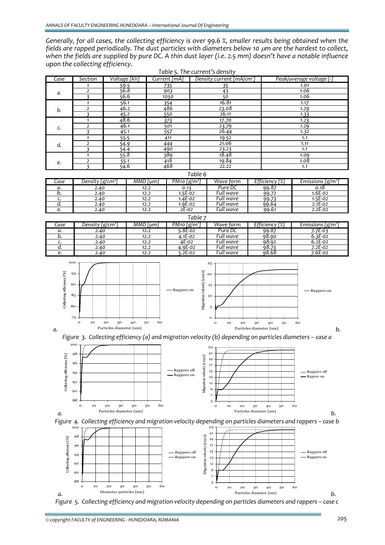Generally, for all cases, the collecting efficiency is over 99.6 %, smaller results being obtained when the *fields are rapped periodically. The dust particles with diameters below 10* <sup>μ</sup>*m are the hardest to collect,* when the fields are supplied by pure DC. A thin dust layer (i.e. 2.5 mm) doesn't have a notable influence *upon the collecting efficiency.*